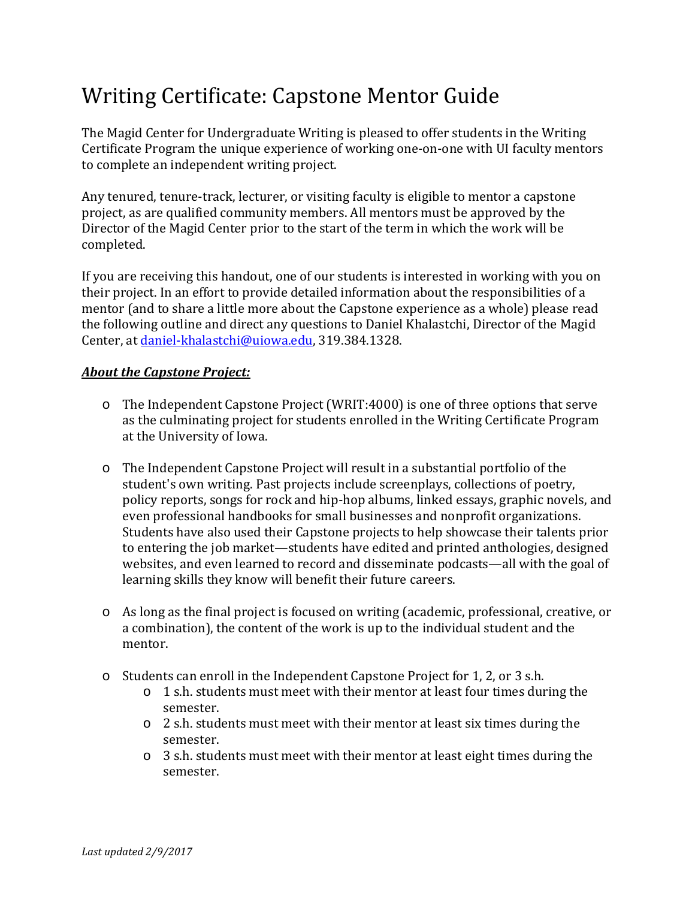## Writing Certificate: Capstone Mentor Guide

The Magid Center for Undergraduate Writing is pleased to offer students in the Writing Certificate Program the unique experience of working one-on-one with UI faculty mentors to complete an independent writing project.

Any tenured, tenure-track, lecturer, or visiting faculty is eligible to mentor a capstone project, as are qualified community members. All mentors must be approved by the Director of the Magid Center prior to the start of the term in which the work will be completed.

If you are receiving this handout, one of our students is interested in working with you on their project. In an effort to provide detailed information about the responsibilities of a mentor (and to share a little more about the Capstone experience as a whole) please read the following outline and direct any questions to Daniel Khalastchi, Director of the Magid Center, at [daniel-khalastchi@uiowa.edu,](mailto:daniel-khalastchi@uiowa.edu) 319.384.1328.

## *About the Capstone Project:*

- o The Independent Capstone Project (WRIT:4000) is one of three options that serve as the culminating project for students enrolled in the Writing Certificate Program at the University of Iowa.
- o The Independent Capstone Project will result in a substantial portfolio of the student's own writing. Past projects include screenplays, collections of poetry, policy reports, songs for rock and hip-hop albums, linked essays, graphic novels, and even professional handbooks for small businesses and nonprofit organizations. Students have also used their Capstone projects to help showcase their talents prior to entering the job market—students have edited and printed anthologies, designed websites, and even learned to record and disseminate podcasts—all with the goal of learning skills they know will benefit their future careers.
- o As long as the final project is focused on writing (academic, professional, creative, or a combination), the content of the work is up to the individual student and the mentor.
- o Students can enroll in the Independent Capstone Project for 1, 2, or 3 s.h.
	- $\circ$  1 s.h. students must meet with their mentor at least four times during the semester.
	- o 2 s.h. students must meet with their mentor at least six times during the semester.
	- o 3 s.h. students must meet with their mentor at least eight times during the semester.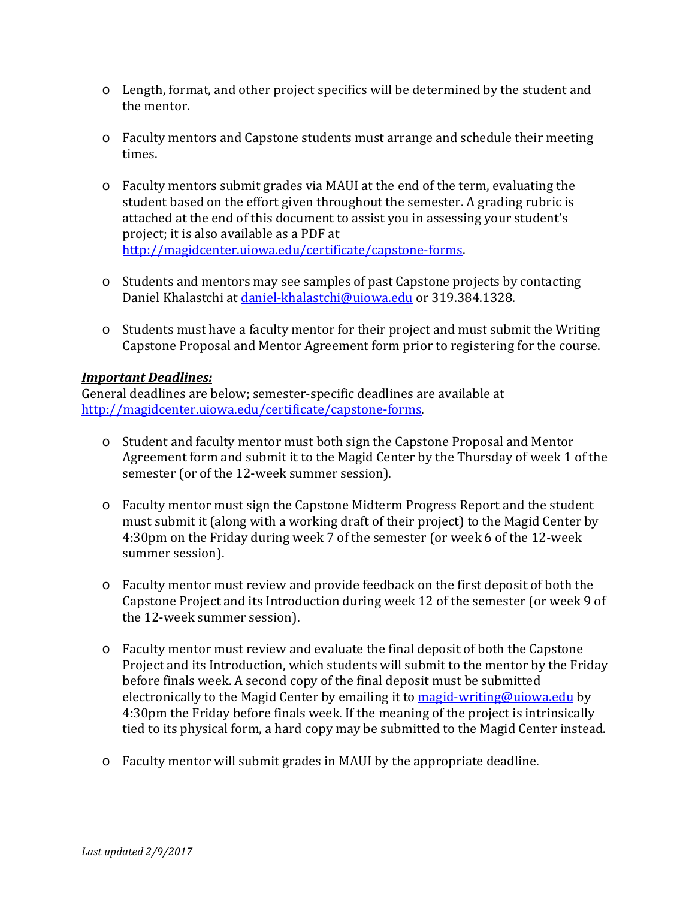- o Length, format, and other project specifics will be determined by the student and the mentor.
- o Faculty mentors and Capstone students must arrange and schedule their meeting times.
- o Faculty mentors submit grades via MAUI at the end of the term, evaluating the student based on the effort given throughout the semester. A grading rubric is attached at the end of this document to assist you in assessing your student's project; it is also available as a PDF at [http://magidcenter.uiowa.edu/certificate/capstone-forms.](http://magidcenter.uiowa.edu/certificate/capstone-forms)
- o Students and mentors may see samples of past Capstone projects by contacting Daniel Khalastchi at [daniel-khalastchi@uiowa.edu](mailto:daniel-khalastchi@uiowa.edu) or 319.384.1328.
- $\circ$  Students must have a faculty mentor for their project and must submit the Writing Capstone Proposal and Mentor Agreement form prior to registering for the course.

## *Important Deadlines:*

General deadlines are below; semester-specific deadlines are available at [http://magidcenter.uiowa.edu/certificate/capstone-forms.](http://magidcenter.uiowa.edu/certificate/capstone-forms)

- o Student and faculty mentor must both sign the Capstone Proposal and Mentor Agreement form and submit it to the Magid Center by the Thursday of week 1 of the semester (or of the 12-week summer session).
- o Faculty mentor must sign the Capstone Midterm Progress Report and the student must submit it (along with a working draft of their project) to the Magid Center by 4:30pm on the Friday during week 7 of the semester (or week 6 of the 12-week summer session).
- o Faculty mentor must review and provide feedback on the first deposit of both the Capstone Project and its Introduction during week 12 of the semester (or week 9 of the 12-week summer session).
- o Faculty mentor must review and evaluate the final deposit of both the Capstone Project and its Introduction, which students will submit to the mentor by the Friday before finals week. A second copy of the final deposit must be submitted electronically to the Magid Center by emailing it to [magid-writing@uiowa.edu](mailto:magid-writing@uiowa.edu) by 4:30pm the Friday before finals week. If the meaning of the project is intrinsically tied to its physical form, a hard copy may be submitted to the Magid Center instead.
- o Faculty mentor will submit grades in MAUI by the appropriate deadline.